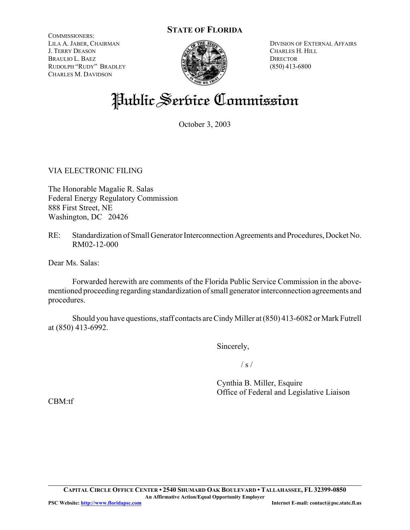#### **STATE OF FLORIDA**

COMMISSIONERS: LILA A. JABER, CHAIRMAN J. TERRY DEASON BRAULIO L. BAEZ RUDOLPH "RUDY" BRADLEY CHARLES M. DAVIDSON



DIVISION OF EXTERNAL AFFAIRS CHARLES H. HILL **DIRECTOR** (850) 413-6800

# Public Service Commission

October 3, 2003

VIA ELECTRONIC FILING

The Honorable Magalie R. Salas Federal Energy Regulatory Commission 888 First Street, NE Washington, DC 20426

RE: Standardization of Small Generator Interconnection Agreements and Procedures, Docket No. RM02-12-000

Dear Ms. Salas:

Forwarded herewith are comments of the Florida Public Service Commission in the abovementioned proceeding regarding standardization of small generator interconnection agreements and procedures.

Should you have questions, staff contacts are Cindy Miller at (850) 413-6082 or Mark Futrell at (850) 413-6992.

Sincerely,

 $/ s /$ 

Cynthia B. Miller, Esquire Office of Federal and Legislative Liaison

CBM:tf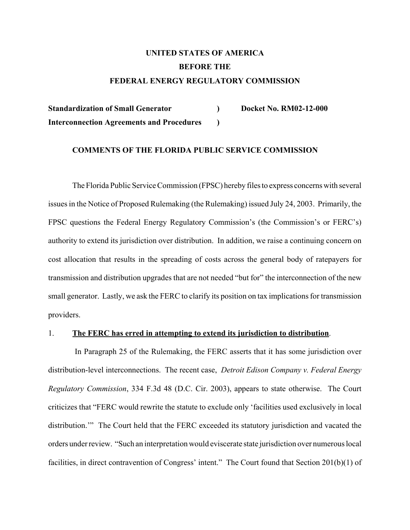### **UNITED STATES OF AMERICA BEFORE THE FEDERAL ENERGY REGULATORY COMMISSION**

**Standardization of Small Generator ) Docket No. RM02-12-000 Interconnection Agreements and Procedures )**

#### **COMMENTS OF THE FLORIDA PUBLIC SERVICE COMMISSION**

The Florida Public Service Commission (FPSC) hereby files to express concerns with several issues in the Notice of Proposed Rulemaking (the Rulemaking) issued July 24, 2003. Primarily, the FPSC questions the Federal Energy Regulatory Commission's (the Commission's or FERC's) authority to extend its jurisdiction over distribution. In addition, we raise a continuing concern on cost allocation that results in the spreading of costs across the general body of ratepayers for transmission and distribution upgrades that are not needed "but for" the interconnection of the new small generator. Lastly, we ask the FERC to clarify its position on tax implications for transmission providers.

#### 1. **The FERC has erred in attempting to extend its jurisdiction to distribution**.

 In Paragraph 25 of the Rulemaking, the FERC asserts that it has some jurisdiction over distribution-level interconnections. The recent case, *Detroit Edison Company v. Federal Energy Regulatory Commission*, 334 F.3d 48 (D.C. Cir. 2003), appears to state otherwise. The Court criticizes that "FERC would rewrite the statute to exclude only 'facilities used exclusively in local distribution.'" The Court held that the FERC exceeded its statutory jurisdiction and vacated the orders under review. "Such an interpretation would eviscerate state jurisdiction over numerous local facilities, in direct contravention of Congress' intent." The Court found that Section 201(b)(1) of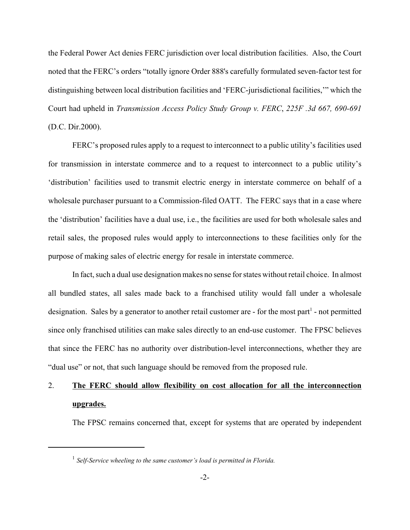the Federal Power Act denies FERC jurisdiction over local distribution facilities. Also, the Court noted that the FERC's orders "totally ignore Order 888's carefully formulated seven-factor test for distinguishing between local distribution facilities and 'FERC-jurisdictional facilities,'" which the Court had upheld in *Transmission Access Policy Study Group v. FERC*, *225F .3d 667, 690-691* (D.C. Dir.2000).

FERC's proposed rules apply to a request to interconnect to a public utility's facilities used for transmission in interstate commerce and to a request to interconnect to a public utility's 'distribution' facilities used to transmit electric energy in interstate commerce on behalf of a wholesale purchaser pursuant to a Commission-filed OATT. The FERC says that in a case where the 'distribution' facilities have a dual use, i.e., the facilities are used for both wholesale sales and retail sales, the proposed rules would apply to interconnections to these facilities only for the purpose of making sales of electric energy for resale in interstate commerce.

In fact, such a dual use designation makes no sense for states without retail choice. In almost all bundled states, all sales made back to a franchised utility would fall under a wholesale designation. Sales by a generator to another retail customer are - for the most part<sup>1</sup> - not permitted since only franchised utilities can make sales directly to an end-use customer. The FPSC believes that since the FERC has no authority over distribution-level interconnections, whether they are "dual use" or not, that such language should be removed from the proposed rule.

## 2. **The FERC should allow flexibility on cost allocation for all the interconnection upgrades.**

The FPSC remains concerned that, except for systems that are operated by independent

<sup>&</sup>lt;sup>1</sup> Self-Service wheeling to the same customer's load is permitted in Florida.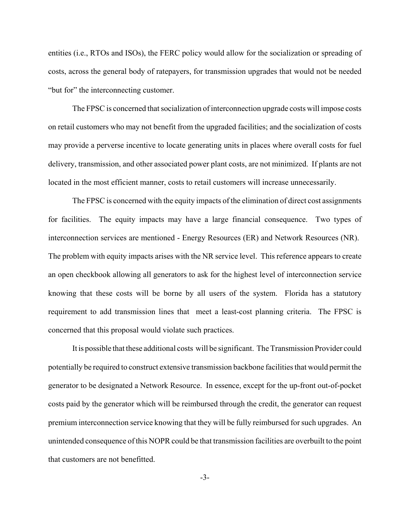entities (i.e., RTOs and ISOs), the FERC policy would allow for the socialization or spreading of costs, across the general body of ratepayers, for transmission upgrades that would not be needed "but for" the interconnecting customer.

The FPSC is concerned that socialization of interconnection upgrade costs will impose costs on retail customers who may not benefit from the upgraded facilities; and the socialization of costs may provide a perverse incentive to locate generating units in places where overall costs for fuel delivery, transmission, and other associated power plant costs, are not minimized. If plants are not located in the most efficient manner, costs to retail customers will increase unnecessarily.

The FPSC is concerned with the equity impacts of the elimination of direct cost assignments for facilities. The equity impacts may have a large financial consequence. Two types of interconnection services are mentioned - Energy Resources (ER) and Network Resources (NR). The problem with equity impacts arises with the NR service level. This reference appears to create an open checkbook allowing all generators to ask for the highest level of interconnection service knowing that these costs will be borne by all users of the system. Florida has a statutory requirement to add transmission lines that meet a least-cost planning criteria. The FPSC is concerned that this proposal would violate such practices.

It is possible that these additional costs will be significant. The Transmission Provider could potentially be required to construct extensive transmission backbone facilities that would permit the generator to be designated a Network Resource. In essence, except for the up-front out-of-pocket costs paid by the generator which will be reimbursed through the credit, the generator can request premium interconnection service knowing that they will be fully reimbursed for such upgrades. An unintended consequence of this NOPR could be that transmission facilities are overbuilt to the point that customers are not benefitted.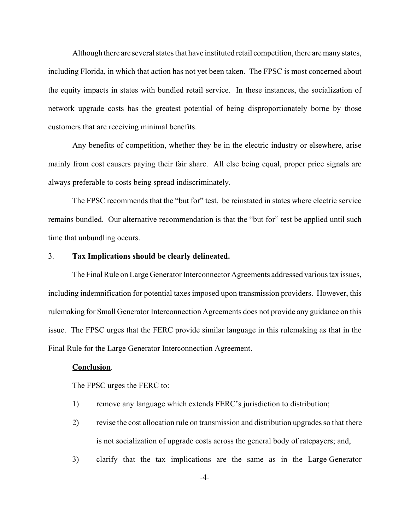Although there are several states that have instituted retail competition, there are many states, including Florida, in which that action has not yet been taken. The FPSC is most concerned about the equity impacts in states with bundled retail service. In these instances, the socialization of network upgrade costs has the greatest potential of being disproportionately borne by those customers that are receiving minimal benefits.

Any benefits of competition, whether they be in the electric industry or elsewhere, arise mainly from cost causers paying their fair share. All else being equal, proper price signals are always preferable to costs being spread indiscriminately.

The FPSC recommends that the "but for" test, be reinstated in states where electric service remains bundled. Our alternative recommendation is that the "but for" test be applied until such time that unbundling occurs.

#### 3. **Tax Implications should be clearly delineated.**

The Final Rule on Large Generator Interconnector Agreements addressed various tax issues, including indemnification for potential taxes imposed upon transmission providers. However, this rulemaking for Small Generator Interconnection Agreements does not provide any guidance on this issue. The FPSC urges that the FERC provide similar language in this rulemaking as that in the Final Rule for the Large Generator Interconnection Agreement.

#### **Conclusion**.

The FPSC urges the FERC to:

- 1) remove any language which extends FERC's jurisdiction to distribution;
- 2) revise the cost allocation rule on transmission and distribution upgrades so that there is not socialization of upgrade costs across the general body of ratepayers; and,
- 3) clarify that the tax implications are the same as in the Large Generator

-4-